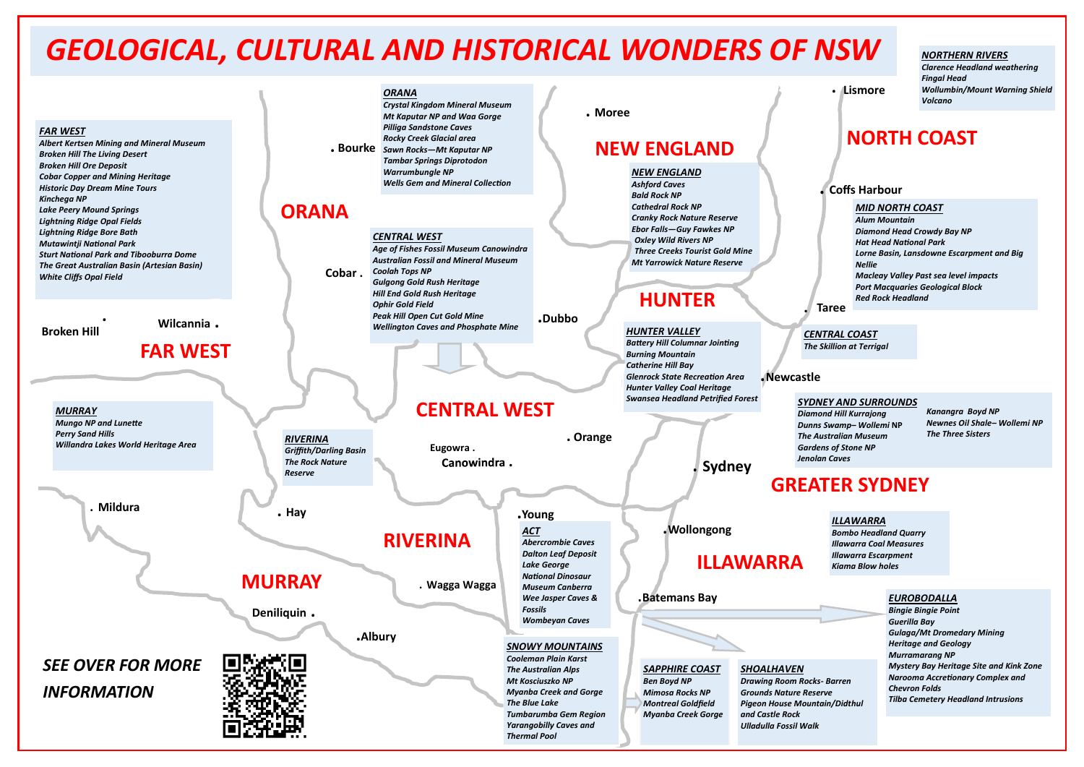# **Taree**

# **GREATER SYDNEY**

*ORANA*

*Crystal Kingdom Mineral Museum*

# *EUROBODALLA*

*Bingie Bingie Point Guerilla Bay Gulaga/Mt Dromedary Mining Heritage and Geology Murramarang NP Mystery Bay Heritage Site and Kink Zone Narooma Accretionary Complex and Chevron Folds Tilba Cemetery Headland Intrusions*





*ILLAWARRA Bombo Headland Quarry Illawarra Coal Measures Illawarra Escarpment Kiama Blow holes* 

*CENTRAL COAST The Skillion at Terrigal*

# *MID NORTH COAST*

**. Lismore**

*Alum Mountain Diamond Head Crowdy Bay NP Hat Head National Park Lorne Basin, Lansdowne Escarpment and Big Nellie Macleay Valley Past sea level impacts Port Macquaries Geological Block Red Rock Headland* 

# *NORTHERN RIVERS*

*Clarence Headland weathering Fingal Head Wollumbin/Mount Warning Shield Volcano*

# *SYDNEY AND SURROUNDS*

*Diamond Hill Kurrajong Dunns Swamp– Wollemi* **NP** *The Australian Museum Gardens of Stone NP Jenolan Caves*

*Kanangra Boyd NP Newnes Oil Shale– Wollemi NP The Three Sisters*

# *GEOLOGICAL, CULTURAL AND HISTORICAL WONDERS OF NSW*

# **. Coffs Harbour**